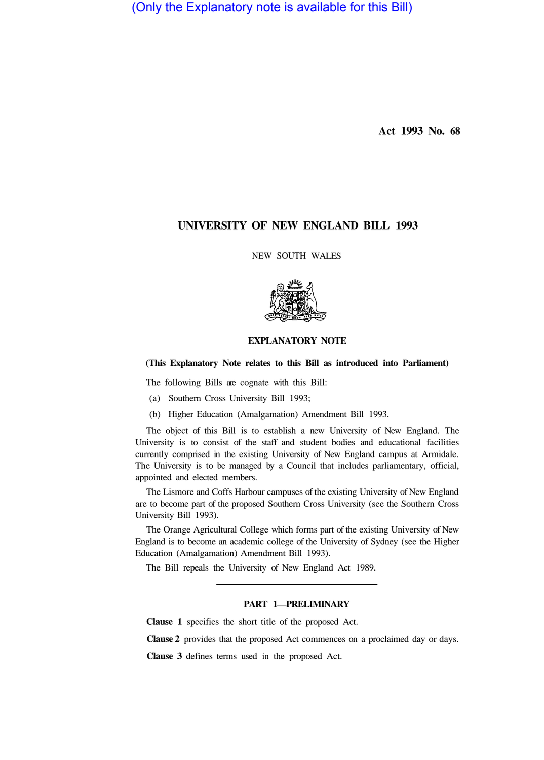(Only the Explanatory note is available for this Bill)

**Act 1993 No. 68** 

# **UNIVERSITY OF NEW ENGLAND BILL 1993**

NEW SOUTH WALES



# **EXPLANATORY NOTE**

# **(This Explanatory Note relates to this Bill as introduced into Parliament)**

The following Bills are cognate with this Bill:

- (a) Southern Cross University Bill 1993;
- (b) Higher Education (Amalgamation) Amendment Bill 1993.

The object of this Bill is to establish a new University of New England. The University is to consist of the staff and student bodies and educational facilities currently comprised in the existing University of New England campus at Armidale. The University is to be managed by a Council that includes parliamentary, official, appointed and elected members.

The Lismore and Coffs Harbour campuses of the existing University of New England are to become part of the proposed Southern Cross University (see the Southern Cross University Bill 1993).

The Orange Agricultural College which forms part of the existing University of New England is to become an academic college of the University of Sydney (see the Higher Education (Amalgamation) Amendment Bill 1993).

The Bill repeals the University of New England Act 1989.

### **PART 1—PRELIMINARY**

**Clause 1** specifies the short title of the proposed Act.

**Clause 2** provides that the proposed Act commences on a proclaimed day or days.

**Clause 3** defines terms used in the proposed Act.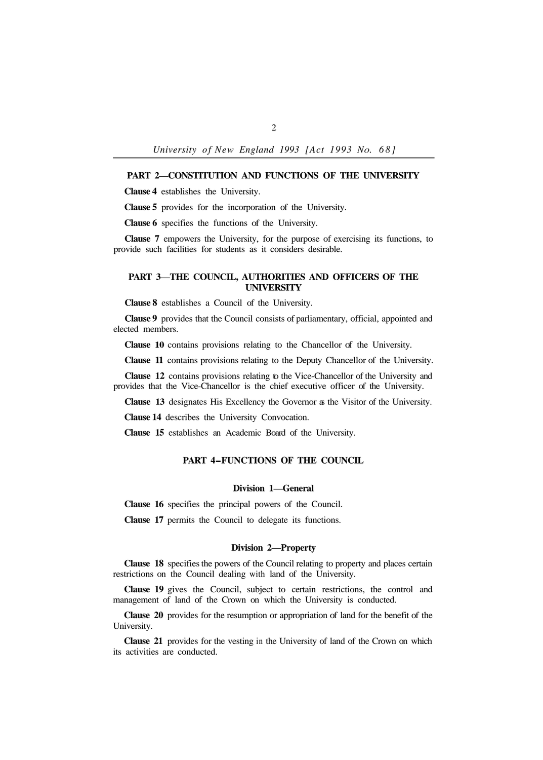*University of New England 1993 [Act 1993 NO. 68]* 

### **PART 2—CONSTITUTION AND FUNCTIONS OF THE UNIVERSITY**

**Clause 4** establishes the University.

**Clause 5** provides for the incorporation of the University.

**Clause 6** specifies the functions of the University.

**Clause 7** empowers the University, for the purpose of exercising its functions, to provide such facilities for students as it considers desirable.

## **PART 3—THE COUNCIL, AUTHORITIES AND OFFICERS OF THE UNIVERSITY**

**Clause 8** establishes a Council of the University.

**Clause 9** provides that the Council consists of parliamentary, official, appointed and elected members.

**Clause 10** contains provisions relating to the Chancellor of the University.

**Clause 11** contains provisions relating to the Deputy Chancellor of the University.

**Clause 12** contains provisions relating to the Vice-Chancellor of the University and provides that the Vice-Chancellor is the chief executive officer of the University.

**Clause 13** designates His Excellency the Governor as the Visitor of the University.

**Clause 14** describes the University Convocation.

**Clause 15** establishes an Academic Board of the University.

## **PART 4-FUNCTIONS OF THE COUNCIL**

#### **Division 1—General**

**Clause 16** specifies the principal powers of the Council.

**Clause 17** permits the Council to delegate its functions.

#### **Division 2—Property**

**Clause 18** specifies the powers of the Council relating to property and places certain restrictions on the Council dealing with land of the University.

**Clause 19** gives the Council, subject to certain restrictions, the control and management of land of the Crown on which the University is conducted.

**Clause 20** provides for the resumption or appropriation of land for the benefit of the University.

**Clause 21** provides for the vesting in the University of land of the Crown on which its activities are conducted.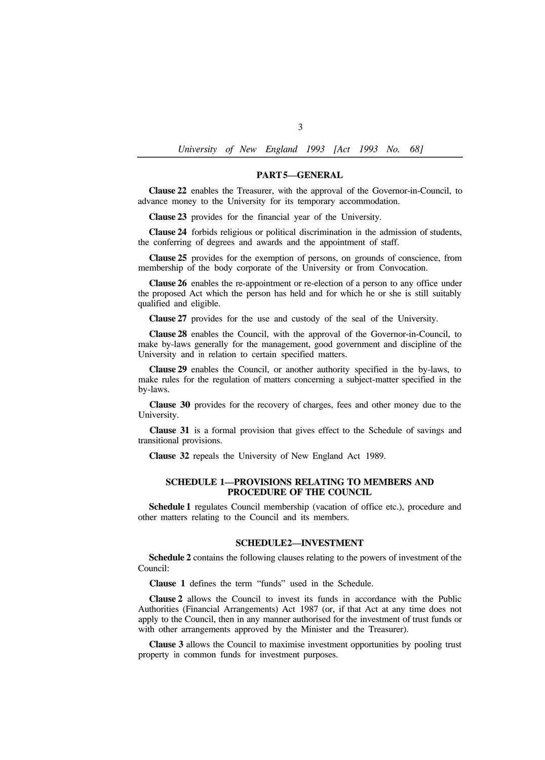*University of New England 1993 [Act 1993 No. 68]* 

#### **PART 5—GENERAL**

**Clause 22** enables the Treasurer, with the approval of the Governor-in-Council, to advance money to the University for its temporary accommodation.

**Clause 23** provides for the financial year of the University.

**Clause 24** forbids religious or political discrimination in the admission of students, the conferring of degrees and awards and the appointment of staff.

**Clause 25** provides for the exemption of persons, on grounds of conscience, from membership of the body corporate of the University or from Convocation.

**Clause 26** enables the re-appointment or re-election of a person to any office under the proposed Act which the person has held and for which he or she is still suitably qualified and eligible.

**Clause 27** provides for the use and custody of the seal of the University.

**Clause 28** enables the Council, with the approval of the Governor-in-Council, to make by-laws generally for the management, good government and discipline of the University and in relation to certain specified matters.

**Clause 29** enables the Council, or another authority specified in the by-laws, to make rules for the regulation of matters concerning a subject-matter specified in the by-laws.

**Clause 30** provides for the recovery of charges, fees and other money due to the University.

**Clause 31** is a formal provision that gives effect to the Schedule of savings and transitional provisions.

**Clause 32** repeals the University of New England Act 1989.

### **SCHEDULE 1—PROVISIONS RELATING TO MEMBERS AND PROCEDURE OF THE COUNCIL**

**Schedule 1** regulates Council membership (vacation of office etc.), procedure and other matters relating to the Council and its members.

#### **SCHEDULE 2—INVESTMENT**

**Schedule 2** contains the following clauses relating to the powers of investment of the Council:

**Clause 1** defines the term "funds" used in the Schedule.

**Clause 2** allows the Council to invest its funds in accordance with the Public Authorities (Financial Arrangements) Act 1987 (or, if that Act at any time does not apply to the Council, then in any manner authorised for the investment of trust funds or with other arrangements approved by the Minister and the Treasurer).

**Clause 3** allows the Council to maximise investment opportunities by pooling trust property in common funds for investment purposes.